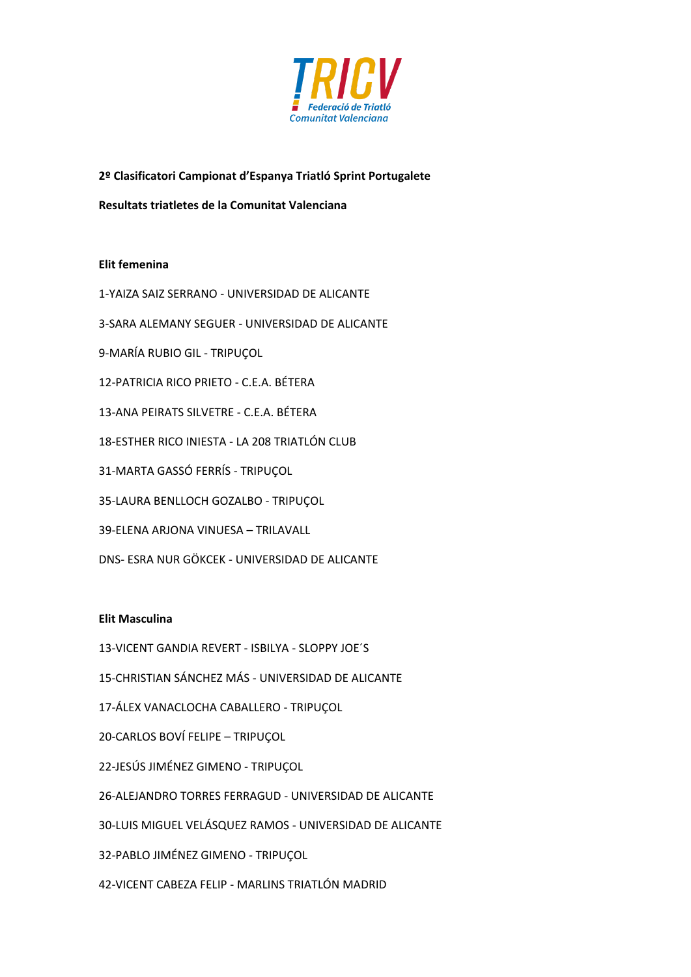

# **2º Clasificatori Campionat d'Espanya Triatló Sprint Portugalete**

**Resultats triatletes de la Comunitat Valenciana**

# **Elit femenina**

1-YAIZA SAIZ SERRANO - UNIVERSIDAD DE ALICANTE

3-SARA ALEMANY SEGUER - UNIVERSIDAD DE ALICANTE

- 9-MARÍA RUBIO GIL TRIPUÇOL
- 12-PATRICIA RICO PRIETO C.E.A. BÉTERA
- 13-ANA PEIRATS SILVETRE C.E.A. BÉTERA
- 18-ESTHER RICO INIESTA LA 208 TRIATLÓN CLUB
- 31-MARTA GASSÓ FERRÍS TRIPUÇOL
- 35-LAURA BENLLOCH GOZALBO TRIPUÇOL
- 39-ELENA ARJONA VINUESA TRILAVALL
- DNS- ESRA NUR GÖKCEK UNIVERSIDAD DE ALICANTE

## **Elit Masculina**

- 13-VICENT GANDIA REVERT ISBILYA SLOPPY JOE´S
- 15-CHRISTIAN SÁNCHEZ MÁS UNIVERSIDAD DE ALICANTE
- 17-ÁLEX VANACLOCHA CABALLERO TRIPUÇOL
- 20-CARLOS BOVÍ FELIPE TRIPUÇOL
- 22-JESÚS JIMÉNEZ GIMENO TRIPUÇOL
- 26-ALEJANDRO TORRES FERRAGUD UNIVERSIDAD DE ALICANTE
- 30-LUIS MIGUEL VELÁSQUEZ RAMOS UNIVERSIDAD DE ALICANTE
- 32-PABLO JIMÉNEZ GIMENO TRIPUÇOL
- 42-VICENT CABEZA FELIP MARLINS TRIATLÓN MADRID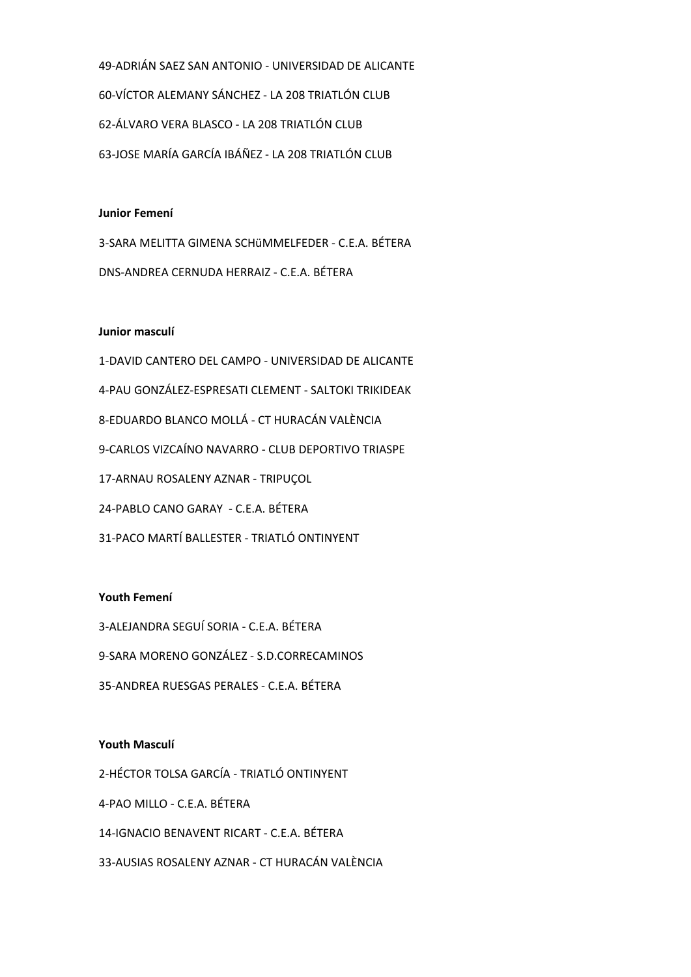49-ADRIÁN SAEZ SAN ANTONIO - UNIVERSIDAD DE ALICANTE 60-VÍCTOR ALEMANY SÁNCHEZ - LA 208 TRIATLÓN CLUB 62-ÁLVARO VERA BLASCO - LA 208 TRIATLÓN CLUB 63-JOSE MARÍA GARCÍA IBÁÑEZ - LA 208 TRIATLÓN CLUB

## **Junior Femení**

3-SARA MELITTA GIMENA SCHüMMELFEDER - C.E.A. BÉTERA DNS-ANDREA CERNUDA HERRAIZ - C.E.A. BÉTERA

#### **Junior masculí**

1-DAVID CANTERO DEL CAMPO - UNIVERSIDAD DE ALICANTE 4-PAU GONZÁLEZ-ESPRESATI CLEMENT - SALTOKI TRIKIDEAK 8-EDUARDO BLANCO MOLLÁ - CT HURACÁN VALÈNCIA 9-CARLOS VIZCAÍNO NAVARRO - CLUB DEPORTIVO TRIASPE 17-ARNAU ROSALENY AZNAR - TRIPUÇOL 24-PABLO CANO GARAY - C.E.A. BÉTERA 31-PACO MARTÍ BALLESTER - TRIATLÓ ONTINYENT

## **Youth Femení**

3-ALEJANDRA SEGUÍ SORIA - C.E.A. BÉTERA 9-SARA MORENO GONZÁLEZ - S.D.CORRECAMINOS 35-ANDREA RUESGAS PERALES - C.E.A. BÉTERA

#### **Youth Masculí**

2-HÉCTOR TOLSA GARCÍA - TRIATLÓ ONTINYENT

4-PAO MILLO - C.E.A. BÉTERA

14-IGNACIO BENAVENT RICART - C.E.A. BÉTERA

33-AUSIAS ROSALENY AZNAR - CT HURACÁN VALÈNCIA